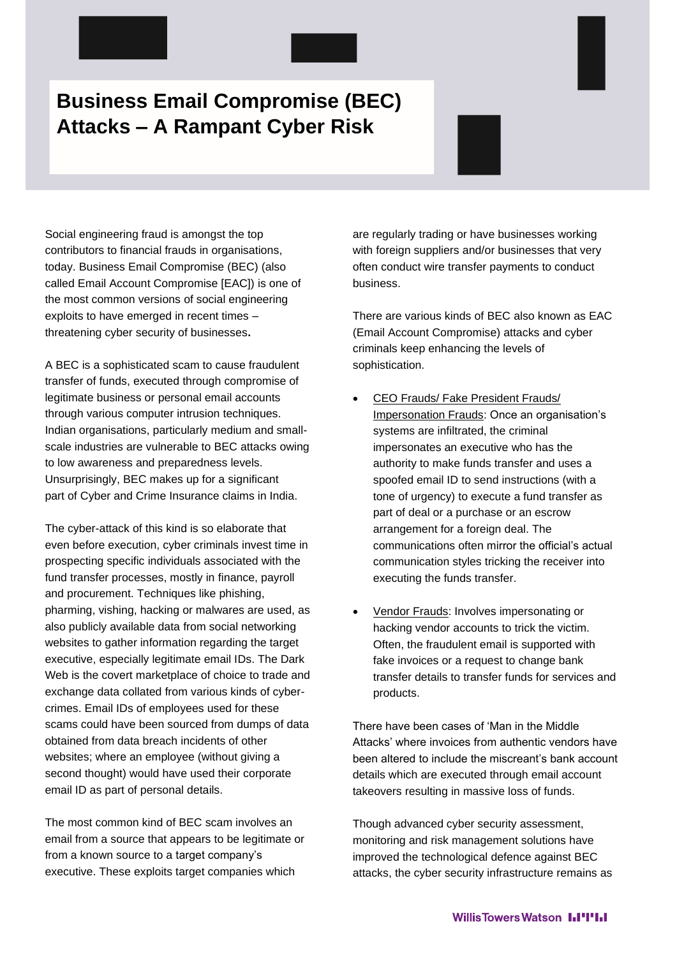# **Business Email Compromise (BEC) Attacks – A Rampant Cyber Risk**

Social engineering fraud is amongst the top contributors to financial frauds in organisations, today. Business Email Compromise (BEC) (also called Email Account Compromise [EAC]) is one of the most common versions of social engineering exploits to have emerged in recent times – threatening cyber security of businesses**.** 

A BEC is a sophisticated scam to cause fraudulent transfer of funds, executed through compromise of legitimate business or personal email accounts through various computer intrusion techniques. Indian organisations, particularly medium and smallscale industries are vulnerable to BEC attacks owing to low awareness and preparedness levels. Unsurprisingly, BEC makes up for a significant part of Cyber and Crime Insurance claims in India.

The cyber-attack of this kind is so elaborate that even before execution, cyber criminals invest time in prospecting specific individuals associated with the fund transfer processes, mostly in finance, payroll and procurement. Techniques like phishing. pharming, vishing, hacking or malwares are used, as also publicly available data from social networking websites to gather information regarding the target executive, especially legitimate email IDs. The Dark Web is the covert marketplace of choice to trade and exchange data collated from various kinds of cybercrimes. Email IDs of employees used for these scams could have been sourced from dumps of data obtained from data breach incidents of other websites; where an employee (without giving a second thought) would have used their corporate email ID as part of personal details.

The most common kind of BEC scam involves an email from a source that appears to be legitimate or from a known source to a target company's executive. These exploits target companies which

are regularly trading or have businesses working with foreign suppliers and/or businesses that very often conduct wire transfer payments to conduct business.

There are various kinds of BEC also known as EAC (Email Account Compromise) attacks and cyber criminals keep enhancing the levels of sophistication.

- CEO Frauds/ Fake President Frauds/ Impersonation Frauds: Once an organisation's systems are infiltrated, the criminal impersonates an executive who has the authority to make funds transfer and uses a spoofed email ID to send instructions (with a tone of urgency) to execute a fund transfer as part of deal or a purchase or an escrow arrangement for a foreign deal. The communications often mirror the official's actual communication styles tricking the receiver into executing the funds transfer.
- Vendor Frauds: Involves impersonating or hacking vendor accounts to trick the victim. Often, the fraudulent email is supported with fake invoices or a request to change bank transfer details to transfer funds for services and products.

There have been cases of 'Man in the Middle Attacks' where invoices from authentic vendors have been altered to include the miscreant's bank account details which are executed through email account takeovers resulting in massive loss of funds.

Though advanced cyber security assessment, monitoring and risk management solutions have improved the technological defence against BEC attacks, the cyber security infrastructure remains as